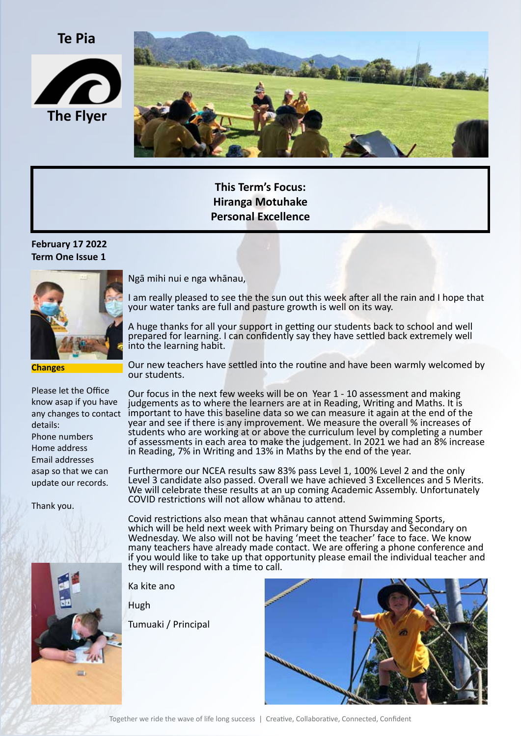**Te Pia**





**This Term's Focus: Hiranga Motuhake Personal Excellence**

### **February 17 2022 Term One Issue 1**



**Changes**

Please let the Office know asap if you have details: Phone numbers Home address Email addresses asap so that we can update our records.

Thank you.



Ngā mihi nui e nga whānau,

I am really pleased to see the the sun out this week after all the rain and I hope that your water tanks are full and pasture growth is well on its way.

A huge thanks for all your support in getting our students back to school and well prepared for learning. I can confidently say they have settled back extremely well into the learning habit.

Our new teachers have settled into the routine and have been warmly welcomed by our students.

any changes to contact important to have this baseline data so we can measure it again at the end of the Our focus in the next few weeks will be on Year 1 - 10 assessment and making judgements as to where the learners are at in Reading, Writing and Maths. It is year and see if there is any improvement. We measure the overall % increases of students who are working at or above the curriculum level by completing a number of assessments in each area to make the judgement. In 2021 we had an 8% increase in Reading, 7% in Writing and 13% in Maths by the end of the year.

> Furthermore our NCEA results saw 83% pass Level 1, 100% Level 2 and the only Level 3 candidate also passed. Overall we have achieved 3 Excellences and 5 Merits. We will celebrate these results at an up coming Academic Assembly. Unfortunately COVID restrictions will not allow whānau to attend.

> Covid restrictions also mean that whānau cannot attend Swimming Sports, which will be held next week with Primary being on Thursday and Secondary on Wednesday. We also will not be having 'meet the teacher' face to face. We know many teachers have already made contact. We are offering a phone conference and if you would like to take up that opportunity please email the individual teacher and they will respond with a time to call.

Ka kite ano

Hugh

Tumuaki / Principal